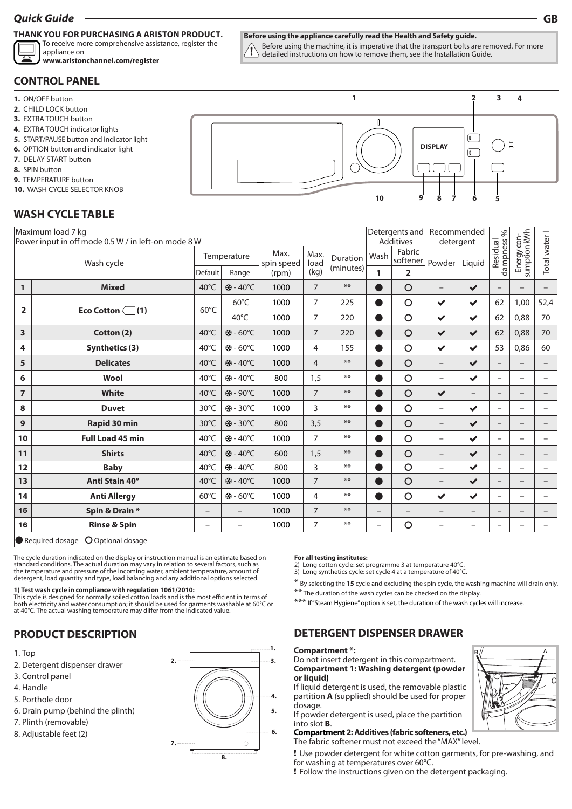# *Quick Guide* **GB**

# **THANK YOU FOR PURCHASING A ARISTON PRODUCT.**

To receive more comprehensive assistance, register the appliance on

**www.aristonchannel.com/register**

#### **Before using the appliance carefully read the Health and Safety guide.**

Before using the machine, it is imperative that the transport bolts are removed. For more detailed instructions on how to remove them, see the Installation Guide.

**2**

**3**

## **CONTROL PANEL**

- **1.** ON/OFF button
- **2.** CHILD LOCK button
- **3.** EXTRA TOUCH button
- **4.** EXTRA TOUCH indicator lights
- **5.** START/PAUSE button and indicator light
- **6.** OPTION button and indicator light
- **7.** DELAY START button
- **8.** SPIN button
- **9.** TEMPERATURE button
- **10.** WASH CYCLE SELECTOR KNOB

# **WASH CYCLE TABLE**

|                         | Maximum load 7 kg<br>Power input in off mode 0.5 W / in left-on mode 8 W | Detergents and<br>Additives |                  | Recommended<br>detergent |                | $\%$      |                          |                          |                          |                   |                          |                             |                          |
|-------------------------|--------------------------------------------------------------------------|-----------------------------|------------------|--------------------------|----------------|-----------|--------------------------|--------------------------|--------------------------|-------------------|--------------------------|-----------------------------|--------------------------|
| Wash cycle              |                                                                          | Temperature                 |                  | Max.<br>spin speed       | Max.<br>load   | Duration  | Wash                     | Fabric<br>softener       | Powder                   | Liquid            | Residual<br>dampness     | Energy con-<br>sumption kWh | Total water I            |
|                         |                                                                          | Default                     | Range            | (rpm)                    | (kg)           | (minutes) | 1                        | $\overline{2}$           |                          |                   |                          |                             |                          |
| $\mathbf{1}$            | <b>Mixed</b>                                                             | $40^{\circ}$ C              | <b>※-40°C</b>    | 1000                     | $\overline{7}$ | $***$     |                          | $\circ$                  | $\overline{\phantom{0}}$ | $\checkmark$      |                          |                             |                          |
| $\overline{2}$          | Eco Cotton $\boxed{\phantom{0}}(1)$                                      | $60^{\circ}$ C              | $60^{\circ}$ C   | 1000                     | 7              | 225       | $\bullet$                | $\circ$                  | $\checkmark$             | $\checkmark$      | 62                       | 1,00                        | 52,4                     |
|                         |                                                                          |                             | 40°C             | 1000                     | $\overline{7}$ | 220       | $\bullet$                | $\circ$                  | $\checkmark$             | $\checkmark$      | 62                       | 0,88                        | 70                       |
| $\overline{\mathbf{3}}$ | Cotton (2)                                                               | $40^{\circ}$ C              | ※-60°C           | 1000                     | $\overline{7}$ | 220       | $\bullet$                | $\circ$                  | $\checkmark$             | $\checkmark$      | 62                       | 0,88                        | 70                       |
| 4                       | <b>Synthetics (3)</b>                                                    | 40°C                        | <b>※-60°C</b>    | 1000                     | $\overline{4}$ | 155       | ●                        | $\circ$                  | $\checkmark$             | $\checkmark$      | 53                       | 0,86                        | 60                       |
| 5                       | <b>Delicates</b>                                                         | $40^{\circ}$ C              | ※-40°C           | 1000                     | $\overline{4}$ | $***$     | o                        | $\circ$                  | $\qquad \qquad -$        | $\checkmark$      | $\qquad \qquad -$        | $\overline{\phantom{0}}$    | $\overline{\phantom{0}}$ |
| 6                       | Wool                                                                     | $40^{\circ}$ C              | <b>※-40°C</b>    | 800                      | 1,5            | $***$     | ●                        | $\circ$                  | $\overline{\phantom{0}}$ | $\checkmark$      | $\overline{\phantom{0}}$ | -                           |                          |
| $\overline{7}$          | <b>White</b>                                                             | 40°C                        | ※-90°C           | 1000                     | $\overline{7}$ | $***$     | D                        | $\circ$                  | $\checkmark$             | $\qquad \qquad -$ | $\equiv$                 | $\overline{\phantom{0}}$    |                          |
| 8                       | <b>Duvet</b>                                                             | 30°C                        | <b>※-30°C</b>    | 1000                     | 3              | $***$     | $\bullet$                | $\circ$                  | $\overline{\phantom{0}}$ | $\checkmark$      | $\overline{\phantom{0}}$ |                             | $\overline{\phantom{0}}$ |
| 9                       | Rapid 30 min                                                             | 30°C                        | <b>※-30°C</b>    | 800                      | 3,5            | $***$     |                          | $\circ$                  | $\overline{\phantom{0}}$ | $\checkmark$      | $\qquad \qquad -$        | $\qquad \qquad -$           |                          |
| 10                      | <b>Full Load 45 min</b>                                                  | $40^{\circ}$ C              |                  | 1000                     | $\overline{7}$ | $***$     | $\bullet$                | $\circ$                  | $\overline{\phantom{0}}$ | $\checkmark$      | $\overline{\phantom{m}}$ | -                           |                          |
| 11                      | <b>Shirts</b>                                                            | $40^{\circ}$ C              | <b>※-40°C</b>    | 600                      | 1,5            | $***$     |                          | $\circ$                  | $\overline{\phantom{0}}$ | $\checkmark$      | $-$                      | $\overline{\phantom{0}}$    |                          |
| 12                      | <b>Baby</b>                                                              | $40^{\circ}$ C              | <b>※-40°C</b>    | 800                      | 3              | $***$     | D                        | $\circ$                  | $\overline{\phantom{0}}$ | $\checkmark$      | $\overline{\phantom{0}}$ | -                           | $\overline{\phantom{0}}$ |
| 13                      | Anti Stain 40°                                                           | $40^{\circ}$ C              | <b>※-40°C</b>    | 1000                     | $\overline{7}$ | $***$     | $\bullet$                | $\circ$                  | $\qquad \qquad -$        | $\checkmark$      | $\qquad \qquad -$        | $\qquad \qquad -$           |                          |
| 14                      | <b>Anti Allergy</b>                                                      | $60^{\circ}$ C              | <b> * - 60°C</b> | 1000                     | $\overline{4}$ | $***$     | Ð                        | $\circ$                  | $\checkmark$             | $\checkmark$      | $\overline{\phantom{0}}$ | $\overline{\phantom{0}}$    |                          |
| 15                      | Spin & Drain *                                                           | $\qquad \qquad -$           |                  | 1000                     | 7              | $**$      | $\qquad \qquad -$        | $\overline{\phantom{0}}$ | $\overline{\phantom{0}}$ | $\qquad \qquad -$ | $\qquad \qquad -$        | $\overline{\phantom{0}}$    | $\overline{\phantom{0}}$ |
| 16                      | <b>Rinse &amp; Spin</b>                                                  | $\overline{\phantom{0}}$    | L.               | 1000                     | 7              | $***$     | $\overline{\phantom{m}}$ | $\circ$                  | $\overline{\phantom{0}}$ |                   | $\overline{\phantom{0}}$ | $\overline{\phantom{0}}$    |                          |
| $\bullet$ .             | $\sim$ $\sim$ $\sim$ $\sim$<br>$\sim$ $\sim$ $\sim$                      |                             |                  |                          |                |           |                          |                          |                          |                   |                          |                             |                          |

 $\bullet$  Required dosage  $\bullet$  Optional dosage

The cycle duration indicated on the display or instruction manual is an estimate based on standard conditions. The actual duration may vary in relation to several factors, such as the temperature and pressure of the incoming water, ambient temperature, amount of detergent, load quantity and type, load balancing and any additional options selected.

### **1) Test wash cycle in compliance with regulation 1061/2010:**

This cycle is designed for normally soiled cotton loads and is the most efficient in terms of both electricity and water consumption; it should be used for garments washable at 60°C or at 40°C. The actual washing temperature may differ from the indicated value.

# **PRODUCT DESCRIPTION**

- 1. Top
- 2. Detergent dispenser drawer
- 3. Control panel
- 4. Handle
- 5. Porthole door
- 6. Drain pump (behind the plinth)
- 7. Plinth (removable)
- 8. Adjustable feet (2)



#### **For all testing institutes:**

2) Long cotton cycle: set programme 3 at temperature 40°C.

3) Long synthetics cycle: set cycle 4 at a temperature of 40°C.

\* By selecting the **15** cycle and excluding the spin cycle, the washing machine will drain only. \*\* The duration of the wash cycles can be checked on the display.

\*\*\* If "Steam Hygiene" option is set, the duration of the wash cycles will increase.

# **DETERGENT DISPENSER DRAWER**

#### **Compartment \*:**

Do not insert detergent in this compartment. **Compartment 1: Washing detergent (powder or liquid)**

If liquid detergent is used, the removable plastic partition **A** (supplied) should be used for proper dosage.

If powder detergent is used, place the partition into slot **B**.

#### **Compartment 2: Additives (fabric softeners, etc.)**

The fabric softener must not exceed the "MAX" level.

! Use powder detergent for white cotton garments, for pre-washing, and for washing at temperatures over 60°C.

! Follow the instructions given on the detergent packaging.



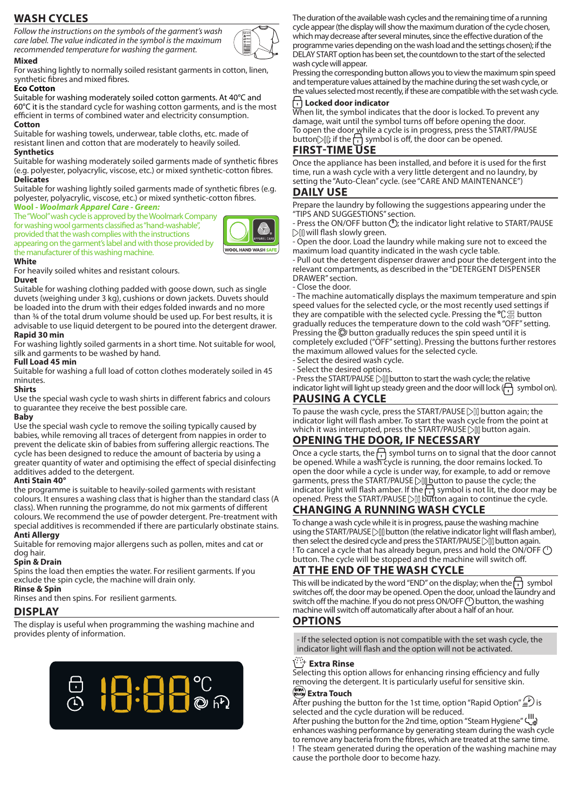# **WASH CYCLES**

*Follow the instructions on the symbols of the garment's wash care label. The value indicated in the symbol is the maximum recommended temperature for washing the garment.*



#### **Mixed** For washing lightly to normally soiled resistant garments in cotton, linen, synthetic fibres and mixed fibres.

### **Eco Cotton**

Suitable for washing moderately soiled cotton garments. At 40°C and 60°C it is the standard cycle for washing cotton garments, and is the most efficient in terms of combined water and electricity consumption. **Cotton**

Suitable for washing towels, underwear, table cloths, etc. made of resistant linen and cotton that are moderately to heavily soiled. **Synthetics**

Suitable for washing moderately soiled garments made of synthetic fibres (e.g. polyester, polyacrylic, viscose, etc.) or mixed synthetic-cotton fibres. **Delicates**

Suitable for washing lightly soiled garments made of synthetic fibres (e.g. polyester, polyacrylic, viscose, etc.) or mixed synthetic-cotton fibres. **Wool -** *Woolmark Apparel Care - Green:*

The "Wool" wash cycle is approved by the Woolmark Company for washing wool garments classified as "hand-washable", provided that the wash complies with the instructions appearing on the garment's label and with those provided by the manufacturer of this washing machine.



#### **White**

For heavily soiled whites and resistant colours.

### **Duvet**

Suitable for washing clothing padded with goose down, such as single duvets (weighing under 3 kg), cushions or down jackets. Duvets should be loaded into the drum with their edges folded inwards and no more than ¾ of the total drum volume should be used up. For best results, it is advisable to use liquid detergent to be poured into the detergent drawer.

### **Rapid 30 min**

For washing lightly soiled garments in a short time. Not suitable for wool, silk and garments to be washed by hand.

### **Full Load 45 min**

Suitable for washing a full load of cotton clothes moderately soiled in 45 minutes.

#### **Shirts**

Use the special wash cycle to wash shirts in different fabrics and colours to guarantee they receive the best possible care.

#### **Baby**

Use the special wash cycle to remove the soiling typically caused by babies, while removing all traces of detergent from nappies in order to prevent the delicate skin of babies from suffering allergic reactions. The cycle has been designed to reduce the amount of bacteria by using a greater quantity of water and optimising the effect of special disinfecting additives added to the detergent.

### **Anti Stain 40°**

the programme is suitable to heavily-soiled garments with resistant colours. It ensures a washing class that is higher than the standard class (A class). When running the programme, do not mix garments of different colours. We recommend the use of powder detergent. Pre-treatment with special additives is recommended if there are particularly obstinate stains.

### **Anti Allergy**

Suitable for removing major allergens such as pollen, mites and cat or dog hair.

### **Spin & Drain**

Spins the load then empties the water. For resilient garments. If you exclude the spin cycle, the machine will drain only.

**Rinse & Spin**

Rinses and then spins. For resilient garments.

### **DISPLAY**

The display is useful when programming the washing machine and provides plenty of information.



The duration of the available wash cycles and the remaining time of a running cycle appear (the display will show the maximum duration of the cycle chosen, which may decrease after several minutes, since the effective duration of the programme varies depending on the wash load and the settings chosen); if the DELAY START option has been set, the countdown to the start of the selected wash cycle will appear.

Pressing the corresponding button allows you to view the maximum spin speed and temperature values attained by the machine during the set wash cycle, or the values selected most recently, if these are compatible with the set wash cycle.

### **Locked door indicator**

When lit, the symbol indicates that the door is locked. To prevent any damage, wait until the symbol turns off before opening the door. To open the door while a cycle is in progress, press the START/PAUSE button  $\bigcup$  if the  $\bigcap$  symbol is off, the door can be opened.

### **FIRST-TIME USE**

Once the appliance has been installed, and before it is used for the first time, run a wash cycle with a very little detergent and no laundry, by setting the "Auto-Clean" cycle. (see "CARE AND MAINTENANCE")

### **DAILY USE**

Prepare the laundry by following the suggestions appearing under the "TIPS AND SUGGESTIONS" section.

- Press the ON/OFF button  $\circlearrowleft$ ; the indicator light relative to START/PAUSE  $\triangleright$  [] will flash slowly green.

Open the door. Load the laundry while making sure not to exceed the maximum load quantity indicated in the wash cycle table.

- Pull out the detergent dispenser drawer and pour the detergent into the relevant compartments, as described in the "DETERGENT DISPENSER DRAWER" section.

- Close the door.

- The machine automatically displays the maximum temperature and spin speed values for the selected cycle, or the most recently used settings if they are compatible with the selected cycle. Pressing the  ${}^{\circ}\!C_{\text{}}^{\text{}}\equiv$  button gradually reduces the temperature down to the cold wash "OFF" setting. Pressing the  $\mathbb O$  button gradually reduces the spin speed until it is completely excluded ("OFF" setting). Pressing the buttons further restores the maximum allowed values for the selected cycle.

- Select the desired wash cycle.

- Select the desired options.

- Press the START/PAUSE DII button to start the wash cycle; the relative indicator light will light up steady green and the door will lock  $\left(\bigcap_{i=1}^{\infty}$  symbol on).

## **PAUSING A CYCLE**

To pause the wash cycle, press the START/PAUSE [> []] button again; the indicator light will flash amber. To start the wash cycle from the point at which it was interrupted, press the START/PAUSE  $\bigcirc$  ll button again.

## **OPENING THE DOOR, IF NECESSARY**

Once a cycle starts, the  $\Box$  symbol turns on to signal that the door cannot be opened. While a wash cycle is running, the door remains locked. To open the door while a cycle is under way, for example, to add or remove garments, press the START/PAUSE DILbutton to pause the cycle; the indicator light will flash amber. If the  $\left| \cdot \right|$  symbol is not lit, the door may be opened. Press the START/PAUSE [Sequetion again to continue the cycle.

# **CHANGING A RUNNING WASH CYCLE**

To change a wash cycle while it is in progress, pause the washing machine using the START/PAUSE  $\triangleright$  []] button (the relative indicator light will flash amber), then select the desired cycle and press the START/PAUSE Dill button again. ! To cancel a cycle that has already begun, press and hold the ON/OFF ( button. The cycle will be stopped and the machine will switch off.

## **AT THE END OF THE WASH CYCLE**

This will be indicated by the word "END" on the display; when the  $\left\lceil \cdot \right\rceil$  symbol switches off, the door may be opened. Open the door, unload the laundry and switch off the machine. If you do not press ON/OFF (<sup>1</sup>) button, the washing machine will switch off automatically after about a half of an hour.

## **OPTIONS**

- If the selected option is not compatible with the set wash cycle, the indicator light will flash and the option will not be activated.

### **Extra Rinse**

Selecting this option allows for enhancing rinsing efficiency and fully removing the detergent. It is particularly useful for sensitive skin.

### EXTRA TOUCH **Extra Touch**

After pushing the button for the 1st time, option "Rapid Option"  $\mathcal{L}(\mathcal{V})$  is selected and the cycle duration will be reduced.

After pushing the button for the 2nd time, option "Steam Hygiene" enhances washing performance by generating steam during the wash cycle to remove any bacteria from the fibres, which are treated at the same time. ! The steam generated during the operation of the washing machine may cause the porthole door to become hazy.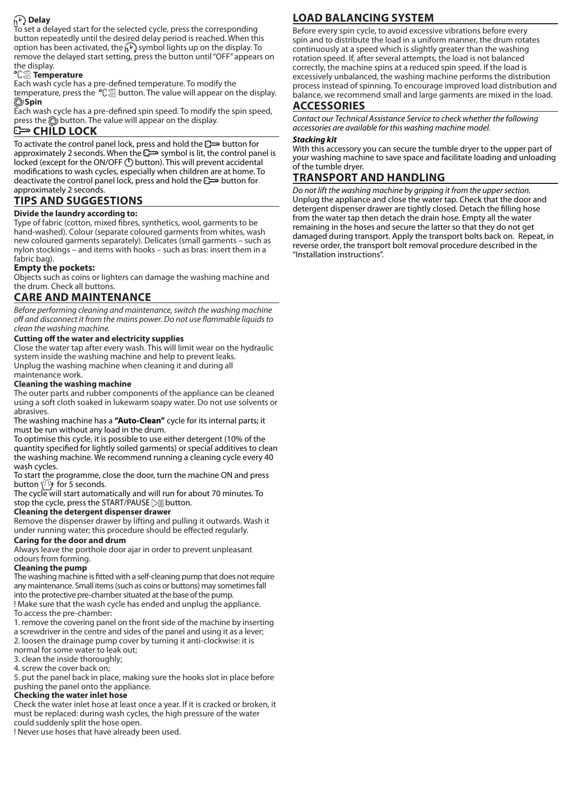## **Delay**

To set a delayed start for the selected cycle, press the corresponding button repeatedly until the desired delay period is reached. When this option has been activated, the  $\widehat{h}$  symbol lights up on the display. To remove the delayed start setting, press the button until "OFF" appears on the display.

### 60° 40° **Temperature**

Each wash cycle has a pre-defined temperature. To modify the temperature, press the  $\,{}^{\mathsf{o}}\!{\mathsf{C}}_{\mathscr{C}\!\mathscr{C}}^{\mathscr{C}\!\mathscr{C}}$  button. The value will appear on the display. **Spin**

Each wash cycle has a pre-defined spin speed. To modify the spin speed, press the  $\odot$  button. The value will appear on the display.

### **C<sub>HILD</sub> LOCK**

To activate the control panel lock, press and hold the **control** for approximately 2 seconds. When the  $\leftarrow$  symbol is lit, the control panel is locked (except for the ON/OFF () button). This will prevent accidental modifications to wash cycles, especially when children are at home. To deactivate the control panel lock, press and hold the **c**outton for approximately 2 seconds.

# **TIPS AND SUGGESTIONS**

### **Divide the laundry according to:**

Type of fabric (cotton, mixed fibres, synthetics, wool, garments to be hand-washed). Colour (separate coloured garments from whites, wash new coloured garments separately). Delicates (small garments – such as nylon stockings – and items with hooks – such as bras: insert them in a fabric bag).

## **Empty the pockets:**

Objects such as coins or lighters can damage the washing machine and the drum. Check all buttons.

# **CARE AND MAINTENANCE**

*Before performing cleaning and maintenance, switch the washing machine off and disconnect it from the mains power. Do not use flammable liquids to clean the washing machine.*

### **Cutting off the water and electricity supplies**

Close the water tap after every wash. This will limit wear on the hydraulic system inside the washing machine and help to prevent leaks. Unplug the washing machine when cleaning it and during all maintenance work.

### **Cleaning the washing machine**

The outer parts and rubber components of the appliance can be cleaned using a soft cloth soaked in lukewarm soapy water. Do not use solvents or abrasives.

The washing machine has a **"Auto-Clean"** cycle for its internal parts; it must be run without any load in the drum.

To optimise this cycle, it is possible to use either detergent (10% of the quantity specified for lightly soiled garments) or special additives to clean the washing machine. We recommend running a cleaning cycle every 40 wash cycles.

To start the programme, close the door, turn the machine ON and press button  $\binom{n}{i}$  for 5 seconds.

The cycle will start automatically and will run for about 70 minutes. To stop the cycle, press the START/PAUSE  $\text{Diff}$  button.

### **Cleaning the detergent dispenser drawer**

Remove the dispenser drawer by lifting and pulling it outwards. Wash it under running water; this procedure should be effected regularly.

#### **Caring for the door and drum**

Always leave the porthole door ajar in order to prevent unpleasant odours from forming.

#### **Cleaning the pump**

The washing machine is fitted with a self-cleaning pump that does not require any maintenance. Small items (such as coins or buttons) may sometimes fall into the protective pre-chamber situated at the base of the pump.

! Make sure that the wash cycle has ended and unplug the appliance. To access the pre-chamber:

1. remove the covering panel on the front side of the machine by inserting a screwdriver in the centre and sides of the panel and using it as a lever; 2. loosen the drainage pump cover by turning it anti-clockwise: it is normal for some water to leak out;

3. clean the inside thoroughly;

4. screw the cover back on;

5. put the panel back in place, making sure the hooks slot in place before pushing the panel onto the appliance.

### **Checking the water inlet hose**

Check the water inlet hose at least once a year. If it is cracked or broken, it must be replaced: during wash cycles, the high pressure of the water could suddenly split the hose open.

! Never use hoses that have already been used.

# **LOAD BALANCING SYSTEM**

Before every spin cycle, to avoid excessive vibrations before every spin and to distribute the load in a uniform manner, the drum rotates continuously at a speed which is slightly greater than the washing rotation speed. If, after several attempts, the load is not balanced correctly, the machine spins at a reduced spin speed. If the load is excessively unbalanced, the washing machine performs the distribution process instead of spinning. To encourage improved load distribution and balance, we recommend small and large garments are mixed in the load.

### **ACCESSORIES**

*Contact our Technical Assistance Service to check whether the following accessories are available for this washing machine model.*

#### *Stacking kit*

With this accessory you can secure the tumble dryer to the upper part of your washing machine to save space and facilitate loading and unloading of the tumble dryer.

# **TRANSPORT AND HANDLING**

*Do not lift the washing machine by gripping it from the upper section.* Unplug the appliance and close the water tap. Check that the door and detergent dispenser drawer are tightly closed. Detach the filling hose from the water tap then detach the drain hose. Empty all the water remaining in the hoses and secure the latter so that they do not get damaged during transport. Apply the transport bolts back on. Repeat, in reverse order, the transport bolt removal procedure described in the "Installation instructions".